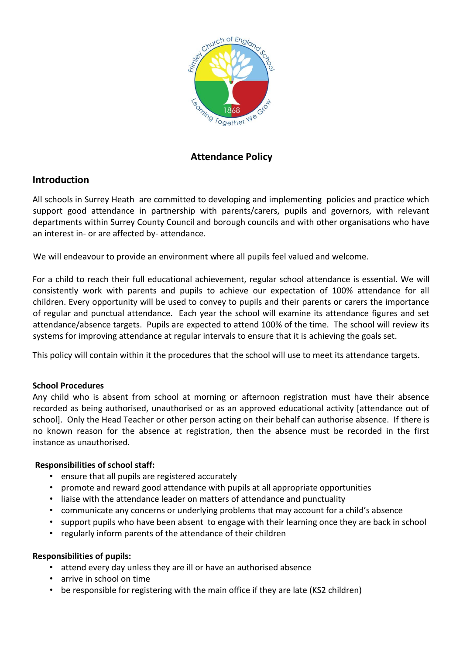

# **Attendance Policy**

# **Introduction**

All schools in Surrey Heath are committed to developing and implementing policies and practice which support good attendance in partnership with parents/carers, pupils and governors, with relevant departments within Surrey County Council and borough councils and with other organisations who have an interest in- or are affected by- attendance.

We will endeavour to provide an environment where all pupils feel valued and welcome.

For a child to reach their full educational achievement, regular school attendance is essential. We will consistently work with parents and pupils to achieve our expectation of 100% attendance for all children. Every opportunity will be used to convey to pupils and their parents or carers the importance of regular and punctual attendance. Each year the school will examine its attendance figures and set attendance/absence targets. Pupils are expected to attend 100% of the time. The school will review its systems for improving attendance at regular intervals to ensure that it is achieving the goals set.

This policy will contain within it the procedures that the school will use to meet its attendance targets.

# **School Procedures**

Any child who is absent from school at morning or afternoon registration must have their absence recorded as being authorised, unauthorised or as an approved educational activity [attendance out of school]. Only the Head Teacher or other person acting on their behalf can authorise absence. If there is no known reason for the absence at registration, then the absence must be recorded in the first instance as unauthorised.

# **Responsibilities of school staff:**

- ensure that all pupils are registered accurately
- promote and reward good attendance with pupils at all appropriate opportunities
- liaise with the attendance leader on matters of attendance and punctuality
- communicate any concerns or underlying problems that may account for a child's absence
- support pupils who have been absent to engage with their learning once they are back in school
- regularly inform parents of the attendance of their children

## **Responsibilities of pupils:**

- attend every day unless they are ill or have an authorised absence
- arrive in school on time
- be responsible for registering with the main office if they are late (KS2 children)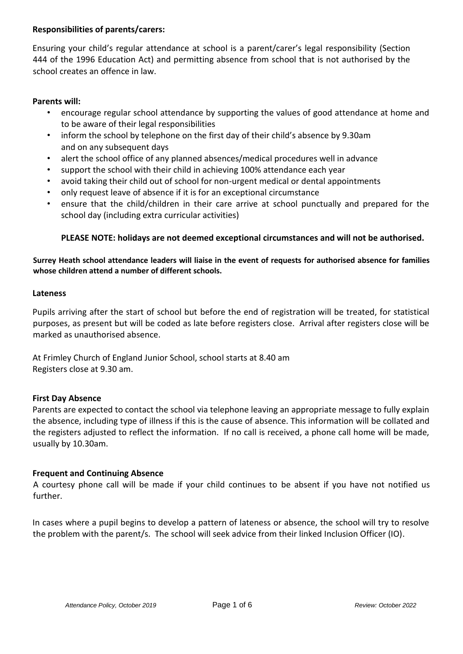## **Responsibilities of parents/carers:**

Ensuring your child's regular attendance at school is a parent/carer's legal responsibility (Section 444 of the 1996 Education Act) and permitting absence from school that is not authorised by the school creates an offence in law.

# **Parents will:**

- encourage regular school attendance by supporting the values of good attendance at home and to be aware of their legal responsibilities
- inform the school by telephone on the first day of their child's absence by 9.30am and on any subsequent days
- alert the school office of any planned absences/medical procedures well in advance
- support the school with their child in achieving 100% attendance each year
- avoid taking their child out of school for non-urgent medical or dental appointments
- only request leave of absence if it is for an exceptional circumstance
- ensure that the child/children in their care arrive at school punctually and prepared for the school day (including extra curricular activities)

# **PLEASE NOTE: holidays are not deemed exceptional circumstances and will not be authorised.**

## **Surrey Heath school attendance leaders will liaise in the event of requests for authorised absence for families whose children attend a number of different schools.**

#### **Lateness**

Pupils arriving after the start of school but before the end of registration will be treated, for statistical purposes, as present but will be coded as late before registers close. Arrival after registers close will be marked as unauthorised absence.

At Frimley Church of England Junior School, school starts at 8.40 am Registers close at 9.30 am.

## **First Day Absence**

Parents are expected to contact the school via telephone leaving an appropriate message to fully explain the absence, including type of illness if this is the cause of absence. This information will be collated and the registers adjusted to reflect the information. If no call is received, a phone call home will be made, usually by 10.30am.

## **Frequent and Continuing Absence**

A courtesy phone call will be made if your child continues to be absent if you have not notified us further.

In cases where a pupil begins to develop a pattern of lateness or absence, the school will try to resolve the problem with the parent/s. The school will seek advice from their linked Inclusion Officer (IO).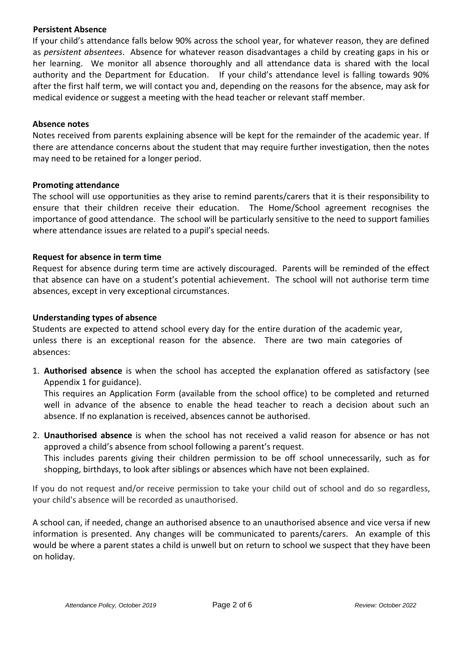#### **Persistent Absence**

If your child's attendance falls below 90% across the school year, for whatever reason, they are defined as *persistent absentees*. Absence for whatever reason disadvantages a child by creating gaps in his or her learning. We monitor all absence thoroughly and all attendance data is shared with the local authority and the Department for Education. If your child's attendance level is falling towards 90% after the first half term, we will contact you and, depending on the reasons for the absence, may ask for medical evidence or suggest a meeting with the head teacher or relevant staff member.

#### **Absence notes**

Notes received from parents explaining absence will be kept for the remainder of the academic year. If there are attendance concerns about the student that may require further investigation, then the notes may need to be retained for a longer period.

#### **Promoting attendance**

The school will use opportunities as they arise to remind parents/carers that it is their responsibility to ensure that their children receive their education. The Home/School agreement recognises the importance of good attendance. The school will be particularly sensitive to the need to support families where attendance issues are related to a pupil's special needs.

## **Request for absence in term time**

Request for absence during term time are actively discouraged. Parents will be reminded of the effect that absence can have on a student's potential achievement. The school will not authorise term time absences, except in very exceptional circumstances.

#### **Understanding types of absence**

Students are expected to attend school every day for the entire duration of the academic year, unless there is an exceptional reason for the absence. There are two main categories of absences:

1. **Authorised absence** is when the school has accepted the explanation offered as satisfactory (see Appendix 1 for guidance).

This requires an Application Form (available from the school office) to be completed and returned well in advance of the absence to enable the head teacher to reach a decision about such an absence. If no explanation is received, absences cannot be authorised.

2. **Unauthorised absence** is when the school has not received a valid reason for absence or has not approved a child's absence from school following a parent's request. This includes parents giving their children permission to be off school unnecessarily, such as for shopping, birthdays, to look after siblings or absences which have not been explained.

If you do not request and/or receive permission to take your child out of school and do so regardless, your child's absence will be recorded as unauthorised.

A school can, if needed, change an authorised absence to an unauthorised absence and vice versa if new information is presented. Any changes will be communicated to parents/carers. An example of this would be where a parent states a child is unwell but on return to school we suspect that they have been on holiday.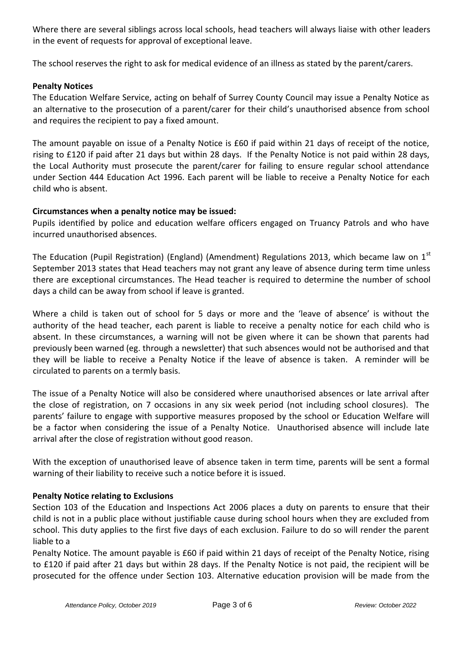Where there are several siblings across local schools, head teachers will always liaise with other leaders in the event of requests for approval of exceptional leave.

The school reserves the right to ask for medical evidence of an illness as stated by the parent/carers.

## **Penalty Notices**

The Education Welfare Service, acting on behalf of Surrey County Council may issue a Penalty Notice as an alternative to the prosecution of a parent/carer for their child's unauthorised absence from school and requires the recipient to pay a fixed amount.

The amount payable on issue of a Penalty Notice is £60 if paid within 21 days of receipt of the notice, rising to £120 if paid after 21 days but within 28 days. If the Penalty Notice is not paid within 28 days, the Local Authority must prosecute the parent/carer for failing to ensure regular school attendance under Section 444 Education Act 1996. Each parent will be liable to receive a Penalty Notice for each child who is absent.

# **Circumstances when a penalty notice may be issued:**

Pupils identified by police and education welfare officers engaged on Truancy Patrols and who have incurred unauthorised absences.

The Education (Pupil Registration) (England) (Amendment) Regulations 2013, which became law on  $1^{st}$ September 2013 states that Head teachers may not grant any leave of absence during term time unless there are exceptional circumstances. The Head teacher is required to determine the number of school days a child can be away from school if leave is granted.

Where a child is taken out of school for 5 days or more and the 'leave of absence' is without the authority of the head teacher, each parent is liable to receive a penalty notice for each child who is absent. In these circumstances, a warning will not be given where it can be shown that parents had previously been warned (eg. through a newsletter) that such absences would not be authorised and that they will be liable to receive a Penalty Notice if the leave of absence is taken. A reminder will be circulated to parents on a termly basis.

The issue of a Penalty Notice will also be considered where unauthorised absences or late arrival after the close of registration, on 7 occasions in any six week period (not including school closures). The parents' failure to engage with supportive measures proposed by the school or Education Welfare will be a factor when considering the issue of a Penalty Notice. Unauthorised absence will include late arrival after the close of registration without good reason.

With the exception of unauthorised leave of absence taken in term time, parents will be sent a formal warning of their liability to receive such a notice before it is issued.

## **Penalty Notice relating to Exclusions**

Section 103 of the Education and Inspections Act 2006 places a duty on parents to ensure that their child is not in a public place without justifiable cause during school hours when they are excluded from school. This duty applies to the first five days of each exclusion. Failure to do so will render the parent liable to a

Penalty Notice. The amount payable is £60 if paid within 21 days of receipt of the Penalty Notice, rising to £120 if paid after 21 days but within 28 days. If the Penalty Notice is not paid, the recipient will be prosecuted for the offence under Section 103. Alternative education provision will be made from the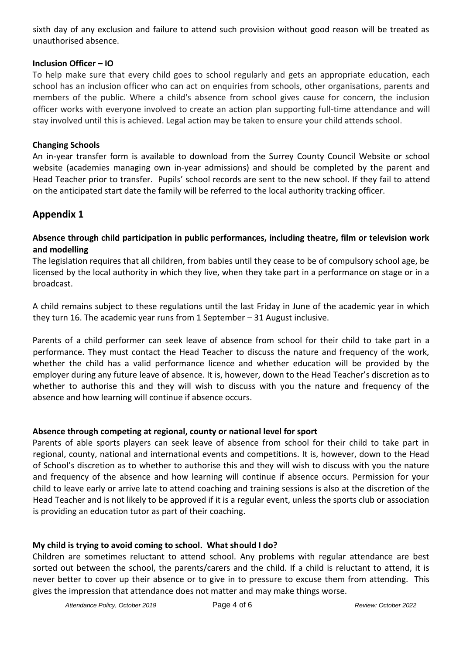sixth day of any exclusion and failure to attend such provision without good reason will be treated as unauthorised absence.

## **Inclusion Officer – IO**

To help make sure that every child goes to school regularly and gets an appropriate education, each school has an inclusion officer who can act on enquiries from schools, other organisations, parents and members of the public. Where a child's absence from school gives cause for concern, the inclusion officer works with everyone involved to create an action plan supporting full-time attendance and will stay involved until this is achieved. Legal action may be taken to ensure your child attends school.

# **Changing Schools**

An in-year transfer form is available to download from the Surrey County Council Website or school website (academies managing own in-year admissions) and should be completed by the parent and Head Teacher prior to transfer. Pupils' school records are sent to the new school. If they fail to attend on the anticipated start date the family will be referred to the local authority tracking officer.

# **Appendix 1**

# **Absence through child participation in public performances, including theatre, film or television work and modelling**

The legislation requires that all children, from babies until they cease to be of compulsory school age, be licensed by the local authority in which they live, when they take part in a performance on stage or in a broadcast.

A child remains subject to these regulations until the last Friday in June of the academic year in which they turn 16. The academic year runs from 1 September – 31 August inclusive.

Parents of a child performer can seek leave of absence from school for their child to take part in a performance. They must contact the Head Teacher to discuss the nature and frequency of the work, whether the child has a valid performance licence and whether education will be provided by the employer during any future leave of absence. It is, however, down to the Head Teacher's discretion as to whether to authorise this and they will wish to discuss with you the nature and frequency of the absence and how learning will continue if absence occurs.

# **Absence through competing at regional, county or national level for sport**

Parents of able sports players can seek leave of absence from school for their child to take part in regional, county, national and international events and competitions. It is, however, down to the Head of School's discretion as to whether to authorise this and they will wish to discuss with you the nature and frequency of the absence and how learning will continue if absence occurs. Permission for your child to leave early or arrive late to attend coaching and training sessions is also at the discretion of the Head Teacher and is not likely to be approved if it is a regular event, unless the sports club or association is providing an education tutor as part of their coaching.

# **My child is trying to avoid coming to school. What should I do?**

Children are sometimes reluctant to attend school. Any problems with regular attendance are best sorted out between the school, the parents/carers and the child. If a child is reluctant to attend, it is never better to cover up their absence or to give in to pressure to excuse them from attending. This gives the impression that attendance does not matter and may make things worse.